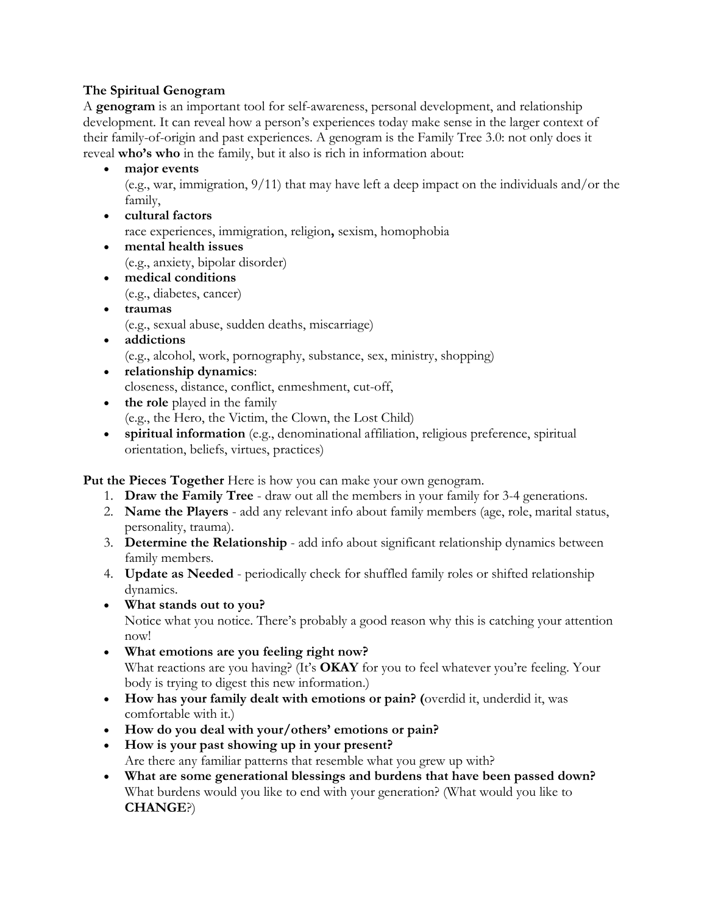## **The Spiritual Genogram**

A **genogram** is an important tool for self-awareness, personal development, and relationship development. It can reveal how a person's experiences today make sense in the larger context of their family-of-origin and past experiences. A genogram is the Family Tree 3.0: not only does it reveal **who's who** in the family, but it also is rich in information about:

- **major events** (e.g., war, immigration, 9/11) that may have left a deep impact on the individuals and/or the family,
- **cultural factors** race experiences, immigration, religion**,** sexism, homophobia
- **mental health issues** (e.g., anxiety, bipolar disorder)
- **medical conditions** (e.g., diabetes, cancer)
- **traumas** (e.g., sexual abuse, sudden deaths, miscarriage)
- **addictions** (e.g., alcohol, work, pornography, substance, sex, ministry, shopping)
- **relationship dynamics**: closeness, distance, conflict, enmeshment, cut-off,
- **the role** played in the family (e.g., the Hero, the Victim, the Clown, the Lost Child)
- **spiritual information** (e.g., denominational affiliation, religious preference, spiritual orientation, beliefs, virtues, practices)

**Put the Pieces Together** Here is how you can make your own genogram.

- 1. **Draw the Family Tree** draw out all the members in your family for 3-4 generations.
- 2. **Name the Players** add any relevant info about family members (age, role, marital status, personality, trauma).
- 3. **Determine the Relationship**  add info about significant relationship dynamics between family members.
- 4. **Update as Needed** periodically check for shuffled family roles or shifted relationship dynamics.
- **What stands out to you?**  Notice what you notice. There's probably a good reason why this is catching your attention now!
- **What emotions are you feeling right now?**  What reactions are you having? (It's **OKAY** for you to feel whatever you're feeling. Your body is trying to digest this new information.)
- **How has your family dealt with emotions or pain? (**overdid it, underdid it, was comfortable with it.)
- **How do you deal with your/others' emotions or pain?**
- **How is your past showing up in your present?** Are there any familiar patterns that resemble what you grew up with?
- **What are some generational blessings and burdens that have been passed down?**  What burdens would you like to end with your generation? (What would you like to **CHANGE**?)